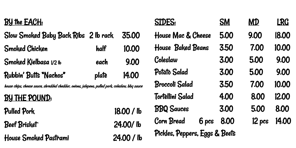#### BY the EACH:

## Slow Smoked Baby Back Ribs 2 lb rack 35.00 Smoked Chicken half 10.00 Smoked Kielbasa 1/2 lb each 9.00 Rubbin' Butts "Nachos" plate 14.00

house chips, cheese sauce, shredded cheddar, onions, jalepeno, pulled pork, coleslaw, bbq sauce

#### BY THE POUND:

#### Pulled Pork 18.00 / lb

#### Beef Brisket 24.00/ lb

House Smoked Pastrami 24.00 / lb

#### SIDES: SM MD LRG

### House Mac & Cheese 5.00 9.00 |8.00 House Baked Beans 3.50 7.00 10.00

### Coleslaw 3.00 5.00 9.00

### Potato Salad 3.00 5.00 9.00

### Broccoli Salad 3.50 7.00 10.00

### Tortellini Salad 4.00 8.00 12.00

## BBQ Sauces 3.00 5.00 8.00

# Corn Bread 6 pcs 8.00 12 pcs 14.00

Pickles, Peppers, Eggs & Beets